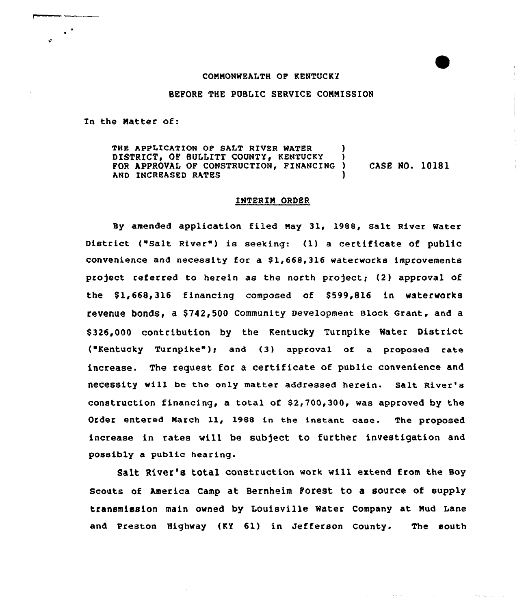#### COMMONWEALTH OP KENTUCKY

# BEFORE THE PUBLIC SERVICE COMMISSION

In the Natter of:

 $\bullet$  .

THE APPLICATION OF SALT RIVER WATER DISTRICT. OF BULLITT COUNTY, KENTUCKY FOR APPROVAL OF CONSTRUCTION, FINANCING ) CASE NO. 10181 AND INCREASED RATES

### INTERIN ORDER

By amended application filed May 31, 1988, Salt River Water District ("Salt River") is seeking: (1) a certificate of public convenience and necessity for a \$1,668,316 waterworks improvements project referred to herein as the north project; (2) approval of the \$1,668,316 financing composed of \$599,816 in waterworks revenue bonds, a \$742,500 Community Development Block Grant, and a \$ 326,000 contribution by the Kentucky Turnpike Water District ("Kentucky Turnpike"); and (3) approval of a proposed rate increase. The request for a certificate of public convenience and neCeSSity will be the only matter addressed herein. Salt River's construction financing, a total of  $$2,700,300$ , was approved by the Order entered March ll, <sup>1988</sup> in the instant case. The proposed increase in rates will be subject to further investigation and possibly a public hearing.

Salt River's total construction work will extend from the Boy Scouts of America Camp at Bernheim Forest to a source of supply transmission main owned by Louisville Water Company at Mud Lane and Preston Highway (KY 61) in Jefferson County. The south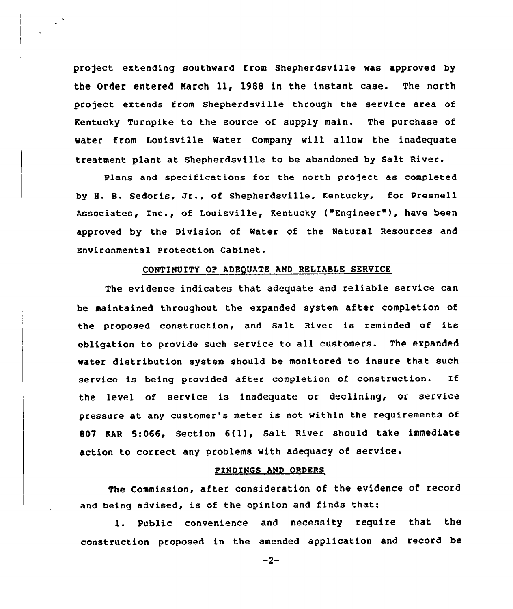project extending southward from Shepherdsville was approved by the Order entered March 11, 1988 in the instant case. The north project extends from Shepherdsville through the service area of Kentucky Turnpike to the source of supply main. The purchase of water from Louisville Water Company will allow the inadequate treatment plant at Shepherdsville to be abandoned by Salt River.

 $\ddot{\phantom{a}}$ 

Plans and specifications for the north project as completed by 8. B. Sedoris, Jr., of Shepherdsville, Kentucky, for Presnell Associates, Inc., of Louisville, Kentucky ("Engineer" ), have been approved by the Division of Rater of the Natural Resources and Environmental Protection Cabinet.

# CONTINUITY OP ADEQUATE AND RELIABLE SERUICE

The evidence indicates that adequate and reliable service can be maintained throughout the expanded system after completion of the proposed construction, and Salt River is reminded of its obligation to provide such service to all customers. The expanded water distribution system should be monitored to insure that such service is being provided after completion of construction. If the level of service is inadequate or declining, or service pressure at any custnmer's meter is not within the requirements of <sup>807</sup> KAR 5:066, Section 6(l), Salt River should take immediate action to correct any problems with adequacy of service.

# FINDINGS AND ORDERS

The Commission, after consideration of the evidence of record and being advised, is of the opinion and finds that:

l. Public convenience and necessity require that the construction proposed in the amended application and record be

 $-2-$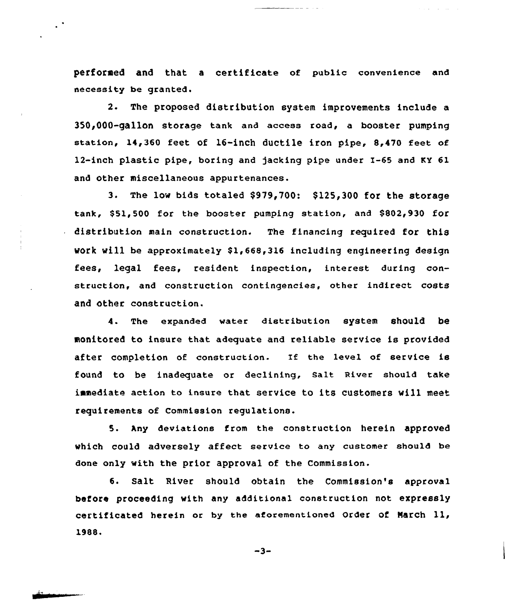performed and that <sup>a</sup> certificate of public convenience and necessity be granted.

2. The proposed distribution system improvements include a 350,000-gallon storage tank and access road, a booster pumping station, 1I,360 feet of 16-inch ductile iron pipe, 8,470 feet of 12-inch plastic pipe, boring and jacking pipe under I-65 and KY 61 and other miscellaneous appurtenances.

3. The low bids totaled \$979,700: \$125,300 for the storage tank, \$51,500 for the booster pumping station, and \$802,930 for distribution main construction. The financing required for this work will be approximately \$1,668,316 including engineering design fees, legal fees, resident inspection, interest during construction, and construction contingencies, other indirect costs and Other construction.

4. The expanded water distribution system should be monitored to insure that adequate and reliable service is provided after completion of construction. If the level of service is found to be inadequate or declining, Salt River should take immediate action to insure that service to its customers will meet requirements of Commission regulations.

5. Any deviations from the construction herein approved which could adversely affect service to any customer should be done only with the prior approval of the Commission.

6. Salt River should obtain the Commission's approval before proceeding with any additional construction not expressly certificated herein or by the aforementioned Order of Narch ll, 1988.

 $-3-$ 

 $\ddot{\phantom{1}}$  .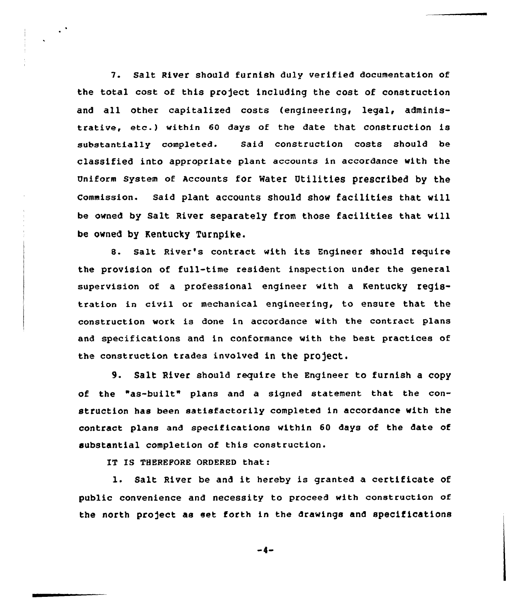7. Salt River should furnish duly verified documentation of the total cost of this project including the cost of construction and all other capitalized costs (engineering, legal, administrative, etc.} within <sup>60</sup> days of the date that construction is substantially completed. Said construction costs should be classified into appropriate plant accounts in accordance with the Uniform System of Accounts for Water Utilities prescribed by the commission. said plant accounts should show facilities that will be owned by Salt River separately from those facilities that will be owned by Kentucky Turnpike.

8. salt River's contract with its Engineer should require the provision of full-time resident inspection under the general supervision of a professional engineer with a Kentucky registration in civil or mechanical engineering, to ensure that the construction work is done in accordance with the contract plans and specifications and in conformance with the best practices of the construction trades involved in the project.

9. Salt River should require the Engineer to furnish <sup>a</sup> copy of the "as-built" plans and a signed statement that the construction has been satisfactorily completed in accordance with the contract plans and specifications within 60 days of the date of substantial completion of this construction.

IT IS THEREFORE ORDERED that:

 $\mathcal{L}^{\mathcal{A}}$ 

1. Salt River be and it hereby is granted <sup>a</sup> certificate of public convenience and necessity to proceed with construction of the north project as set forth in the drawings and specifications

 $-4-$